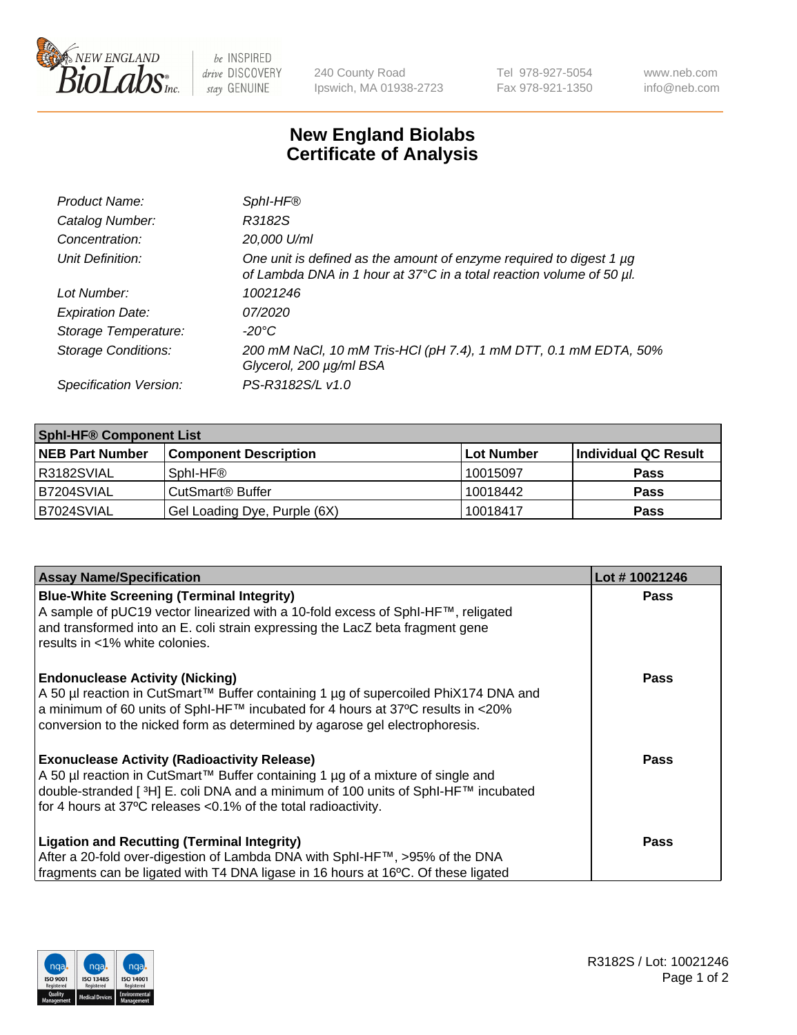

 $be$  INSPIRED drive DISCOVERY stay GENUINE

240 County Road Ipswich, MA 01938-2723 Tel 978-927-5054 Fax 978-921-1350 www.neb.com info@neb.com

## **New England Biolabs Certificate of Analysis**

| Product Name:              | Sphl-HF <sup>®</sup>                                                                                                                             |
|----------------------------|--------------------------------------------------------------------------------------------------------------------------------------------------|
| Catalog Number:            | R3182S                                                                                                                                           |
| Concentration:             | 20,000 U/ml                                                                                                                                      |
| Unit Definition:           | One unit is defined as the amount of enzyme required to digest 1 $\mu$ g<br>of Lambda DNA in 1 hour at 37°C in a total reaction volume of 50 µl. |
| Lot Number:                | 10021246                                                                                                                                         |
| <b>Expiration Date:</b>    | 07/2020                                                                                                                                          |
| Storage Temperature:       | -20°C                                                                                                                                            |
| <b>Storage Conditions:</b> | 200 mM NaCl, 10 mM Tris-HCl (pH 7.4), 1 mM DTT, 0.1 mM EDTA, 50%<br>Glycerol, 200 µg/ml BSA                                                      |
| Specification Version:     | PS-R3182S/L v1.0                                                                                                                                 |

| <b>Sphl-HF® Component List</b> |                              |            |                      |  |  |
|--------------------------------|------------------------------|------------|----------------------|--|--|
| <b>NEB Part Number</b>         | <b>Component Description</b> | Lot Number | Individual QC Result |  |  |
| R3182SVIAL                     | Sphl-HF®                     | 10015097   | <b>Pass</b>          |  |  |
| B7204SVIAL                     | CutSmart <sup>®</sup> Buffer | 10018442   | <b>Pass</b>          |  |  |
| B7024SVIAL                     | Gel Loading Dye, Purple (6X) | 10018417   | <b>Pass</b>          |  |  |

| <b>Assay Name/Specification</b>                                                                                                                                                                                                                                | Lot #10021246 |
|----------------------------------------------------------------------------------------------------------------------------------------------------------------------------------------------------------------------------------------------------------------|---------------|
| <b>Blue-White Screening (Terminal Integrity)</b><br>A sample of pUC19 vector linearized with a 10-fold excess of SphI-HF™, religated                                                                                                                           | <b>Pass</b>   |
| and transformed into an E. coli strain expressing the LacZ beta fragment gene<br>results in <1% white colonies.                                                                                                                                                |               |
| <b>Endonuclease Activity (Nicking)</b>                                                                                                                                                                                                                         | <b>Pass</b>   |
| A 50 µl reaction in CutSmart™ Buffer containing 1 µg of supercoiled PhiX174 DNA and<br>$\alpha$ a minimum of 60 units of SphI-HF™ incubated for 4 hours at 37°C results in <20%<br>conversion to the nicked form as determined by agarose gel electrophoresis. |               |
| <b>Exonuclease Activity (Radioactivity Release)</b>                                                                                                                                                                                                            | Pass          |
| A 50 µl reaction in CutSmart™ Buffer containing 1 µg of a mixture of single and<br>double-stranded [3H] E. coli DNA and a minimum of 100 units of SphI-HF™ incubated                                                                                           |               |
| for 4 hours at 37°C releases <0.1% of the total radioactivity.                                                                                                                                                                                                 |               |
| <b>Ligation and Recutting (Terminal Integrity)</b>                                                                                                                                                                                                             | <b>Pass</b>   |
| After a 20-fold over-digestion of Lambda DNA with SphI-HF™, >95% of the DNA                                                                                                                                                                                    |               |
| fragments can be ligated with T4 DNA ligase in 16 hours at 16°C. Of these ligated                                                                                                                                                                              |               |